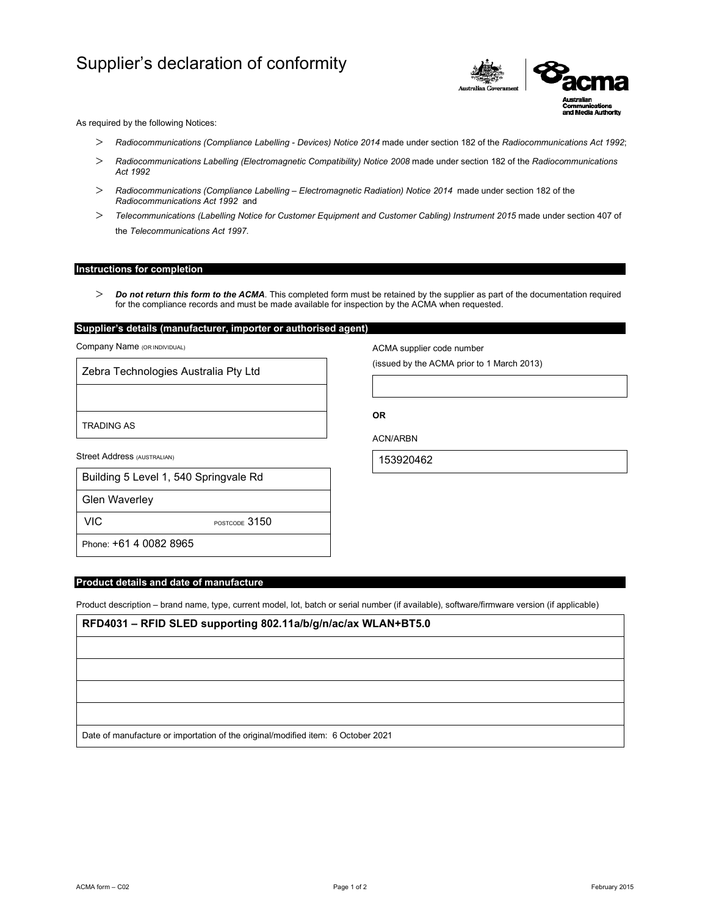# Supplier's declaration of conformity



As required by the following Notices:

- *Radiocommunications (Compliance Labelling Devices) Notice 2014* made under section 182 of the *Radiocommunications Act 1992*;
- *Radiocommunications Labelling (Electromagnetic Compatibility) Notice 2008* made under section 182 of the *Radiocommunications Act 1992*
- *Radiocommunications (Compliance Labelling Electromagnetic Radiation) Notice 2014* made under section 182 of the *Radiocommunications Act 1992* and
- *Telecommunications (Labelling Notice for Customer Equipment and Customer Cabling) Instrument 2015* made under section 407 of the *Telecommunications Act 1997*.

## **Instructions for completion**

 *Do not return this form to the ACMA*. This completed form must be retained by the supplier as part of the documentation required for the compliance records and must be made available for inspection by the ACMA when requested.

# **Supplier's details (manufacturer, importer or authorised agent)**

Company Name (OR INDIVIDUAL)

Zebra Technologies Australia Pty Ltd

TRADING AS

Street Address (AUSTRALIAN)

|  | Building 5 Level 1, 540 Springvale Rd |  |
|--|---------------------------------------|--|
|  |                                       |  |

Glen Waverley

VIC POSTCODE 3150

Phone: +61 4 0082 8965

## **Product details and date of manufacture**

Product description – brand name, type, current model, lot, batch or serial number (if available), software/firmware version (if applicable)

**RFD4031 – RFID SLED supporting 802.11a/b/g/n/ac/ax WLAN+BT5.0**

Date of manufacture or importation of the original/modified item: 6 October 2021

ACMA supplier code number

(issued by the ACMA prior to 1 March 2013)

ACN/ARBN

**OR** 

153920462